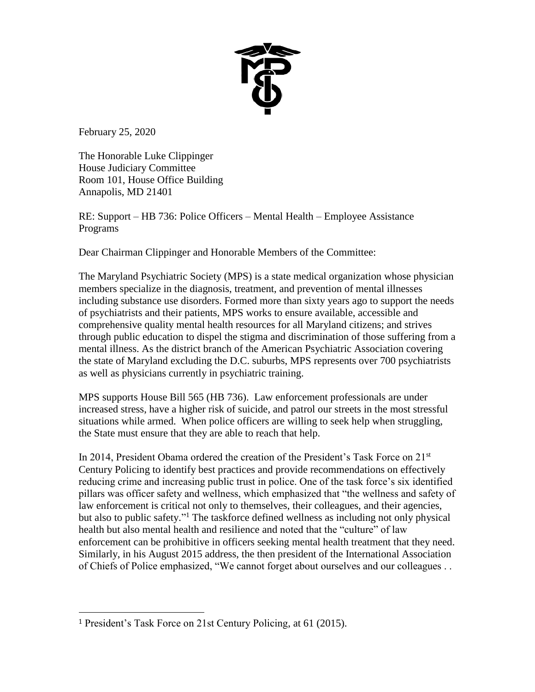

February 25, 2020

l

The Honorable Luke Clippinger House Judiciary Committee Room 101, House Office Building Annapolis, MD 21401

RE: Support – HB 736: Police Officers – Mental Health – Employee Assistance Programs

Dear Chairman Clippinger and Honorable Members of the Committee:

The Maryland Psychiatric Society (MPS) is a state medical organization whose physician members specialize in the diagnosis, treatment, and prevention of mental illnesses including substance use disorders. Formed more than sixty years ago to support the needs of psychiatrists and their patients, MPS works to ensure available, accessible and comprehensive quality mental health resources for all Maryland citizens; and strives through public education to dispel the stigma and discrimination of those suffering from a mental illness. As the district branch of the American Psychiatric Association covering the state of Maryland excluding the D.C. suburbs, MPS represents over 700 psychiatrists as well as physicians currently in psychiatric training.

MPS supports House Bill 565 (HB 736). Law enforcement professionals are under increased stress, have a higher risk of suicide, and patrol our streets in the most stressful situations while armed. When police officers are willing to seek help when struggling, the State must ensure that they are able to reach that help.

In 2014, President Obama ordered the creation of the President's Task Force on  $21<sup>st</sup>$ Century Policing to identify best practices and provide recommendations on effectively reducing crime and increasing public trust in police. One of the task force's six identified pillars was officer safety and wellness, which emphasized that "the wellness and safety of law enforcement is critical not only to themselves, their colleagues, and their agencies, but also to public safety." <sup>1</sup> The taskforce defined wellness as including not only physical health but also mental health and resilience and noted that the "culture" of law enforcement can be prohibitive in officers seeking mental health treatment that they need. Similarly, in his August 2015 address, the then president of the International Association of Chiefs of Police emphasized, "We cannot forget about ourselves and our colleagues . .

<sup>1</sup> President's Task Force on 21st Century Policing, at 61 (2015).